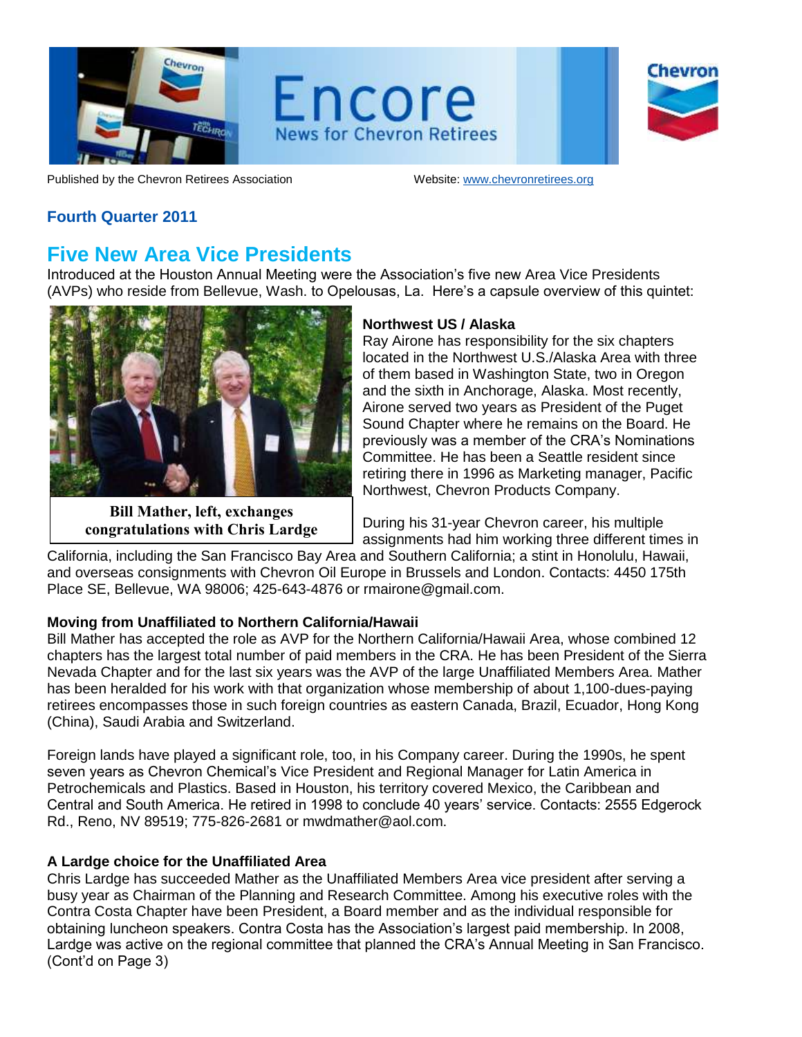

Encore **News for Chevron Retirees** 

Chevror

Published by the Chevron Retirees Association Website[: www.chevronretirees.org](http://www.chevronretirees.org/)

## **Fourth Quarter 2011**

## **Five New Area Vice Presidents**

Introduced at the Houston Annual Meeting were the Association's five new Area Vice Presidents (AVPs) who reside from Bellevue, Wash. to Opelousas, La. Here's a capsule overview of this quintet:



**Bill Mather, left, exchanges congratulations with Chris Lardge**

## **Northwest US / Alaska**

Ray Airone has responsibility for the six chapters located in the Northwest U.S./Alaska Area with three of them based in Washington State, two in Oregon and the sixth in Anchorage, Alaska. Most recently, Airone served two years as President of the Puget Sound Chapter where he remains on the Board. He previously was a member of the CRA's Nominations Committee. He has been a Seattle resident since retiring there in 1996 as Marketing manager, Pacific Northwest, Chevron Products Company.

During his 31-year Chevron career, his multiple assignments had him working three different times in

California, including the San Francisco Bay Area and Southern California; a stint in Honolulu, Hawaii, and overseas consignments with Chevron Oil Europe in Brussels and London. Contacts: 4450 175th Place SE, Bellevue, WA 98006; 425-643-4876 or rmairone@gmail.com.

## **Moving from Unaffiliated to Northern California/Hawaii**

Bill Mather has accepted the role as AVP for the Northern California/Hawaii Area, whose combined 12 chapters has the largest total number of paid members in the CRA. He has been President of the Sierra Nevada Chapter and for the last six years was the AVP of the large Unaffiliated Members Area. Mather has been heralded for his work with that organization whose membership of about 1,100-dues-paying retirees encompasses those in such foreign countries as eastern Canada, Brazil, Ecuador, Hong Kong (China), Saudi Arabia and Switzerland.

Foreign lands have played a significant role, too, in his Company career. During the 1990s, he spent seven years as Chevron Chemical's Vice President and Regional Manager for Latin America in Petrochemicals and Plastics. Based in Houston, his territory covered Mexico, the Caribbean and Central and South America. He retired in 1998 to conclude 40 years' service. Contacts: 2555 Edgerock Rd., Reno, NV 89519; 775-826-2681 or mwdmather@aol.com.

## **A Lardge choice for the Unaffiliated Area**

Chris Lardge has succeeded Mather as the Unaffiliated Members Area vice president after serving a busy year as Chairman of the Planning and Research Committee. Among his executive roles with the Contra Costa Chapter have been President, a Board member and as the individual responsible for obtaining luncheon speakers. Contra Costa has the Association's largest paid membership. In 2008, Lardge was active on the regional committee that planned the CRA's Annual Meeting in San Francisco. (Cont'd on Page 3)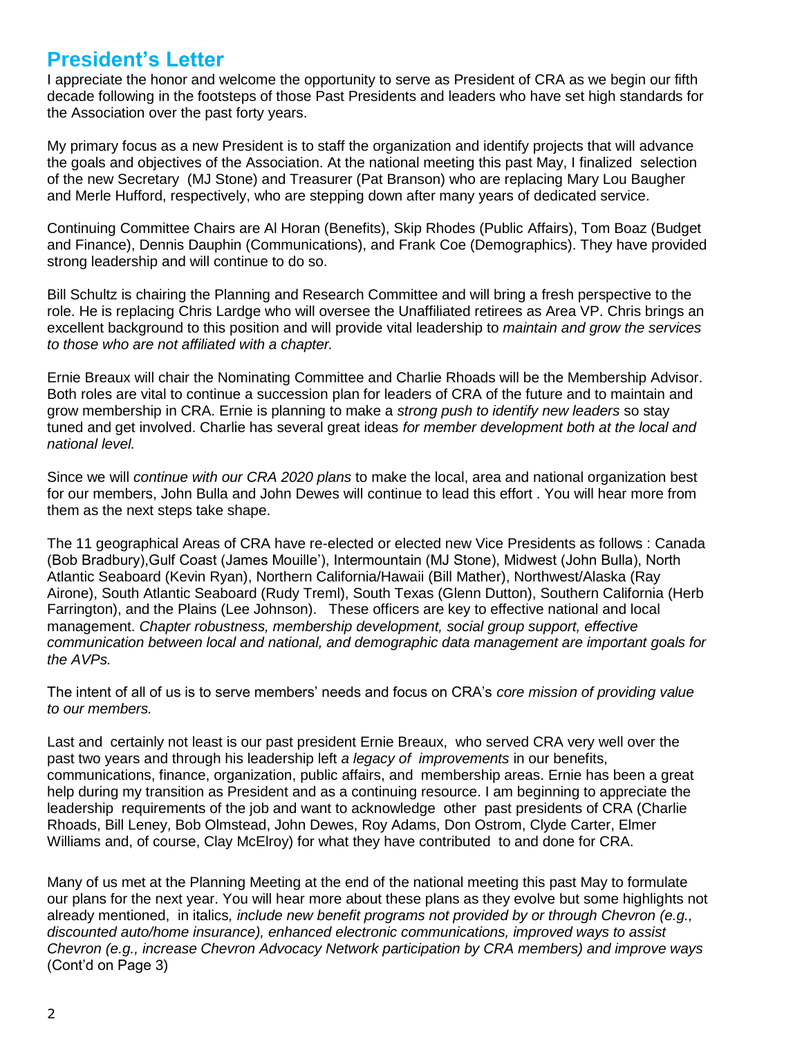## **President's Letter**

I appreciate the honor and welcome the opportunity to serve as President of CRA as we begin our fifth decade following in the footsteps of those Past Presidents and leaders who have set high standards for the Association over the past forty years.

My primary focus as a new President is to staff the organization and identify projects that will advance the goals and objectives of the Association. At the national meeting this past May, I finalized selection of the new Secretary (MJ Stone) and Treasurer (Pat Branson) who are replacing Mary Lou Baugher and Merle Hufford, respectively, who are stepping down after many years of dedicated service.

Continuing Committee Chairs are Al Horan (Benefits), Skip Rhodes (Public Affairs), Tom Boaz (Budget and Finance), Dennis Dauphin (Communications), and Frank Coe (Demographics). They have provided strong leadership and will continue to do so.

Bill Schultz is chairing the Planning and Research Committee and will bring a fresh perspective to the role. He is replacing Chris Lardge who will oversee the Unaffiliated retirees as Area VP. Chris brings an excellent background to this position and will provide vital leadership to *maintain and grow the services to those who are not affiliated with a chapter.* 

Ernie Breaux will chair the Nominating Committee and Charlie Rhoads will be the Membership Advisor. Both roles are vital to continue a succession plan for leaders of CRA of the future and to maintain and grow membership in CRA. Ernie is planning to make a *strong push to identify new leaders* so stay tuned and get involved. Charlie has several great ideas *for member development both at the local and national level.* 

Since we will *continue with our CRA 2020 plans* to make the local, area and national organization best for our members, John Bulla and John Dewes will continue to lead this effort . You will hear more from them as the next steps take shape.

The 11 geographical Areas of CRA have re-elected or elected new Vice Presidents as follows : Canada (Bob Bradbury),Gulf Coast (James Mouille'), Intermountain (MJ Stone), Midwest (John Bulla), North Atlantic Seaboard (Kevin Ryan), Northern California/Hawaii (Bill Mather), Northwest/Alaska (Ray Airone), South Atlantic Seaboard (Rudy Treml), South Texas (Glenn Dutton), Southern California (Herb Farrington), and the Plains (Lee Johnson). These officers are key to effective national and local management. *Chapter robustness, membership development, social group support, effective communication between local and national, and demographic data management are important goals for the AVPs.*

The intent of all of us is to serve members' needs and focus on CRA's *core mission of providing value to our members.*

Last and certainly not least is our past president Ernie Breaux, who served CRA very well over the past two years and through his leadership left *a legacy of improvements* in our benefits, communications, finance, organization, public affairs, and membership areas. Ernie has been a great help during my transition as President and as a continuing resource. I am beginning to appreciate the leadership requirements of the job and want to acknowledge other past presidents of CRA (Charlie Rhoads, Bill Leney, Bob Olmstead, John Dewes, Roy Adams, Don Ostrom, Clyde Carter, Elmer Williams and, of course, Clay McElroy) for what they have contributed to and done for CRA.

Many of us met at the Planning Meeting at the end of the national meeting this past May to formulate our plans for the next year. You will hear more about these plans as they evolve but some highlights not already mentioned, in italics*, include new benefit programs not provided by or through Chevron (e.g., discounted auto/home insurance), enhanced electronic communications, improved ways to assist Chevron (e.g., increase Chevron Advocacy Network participation by CRA members) and improve ways*  (Cont'd on Page 3)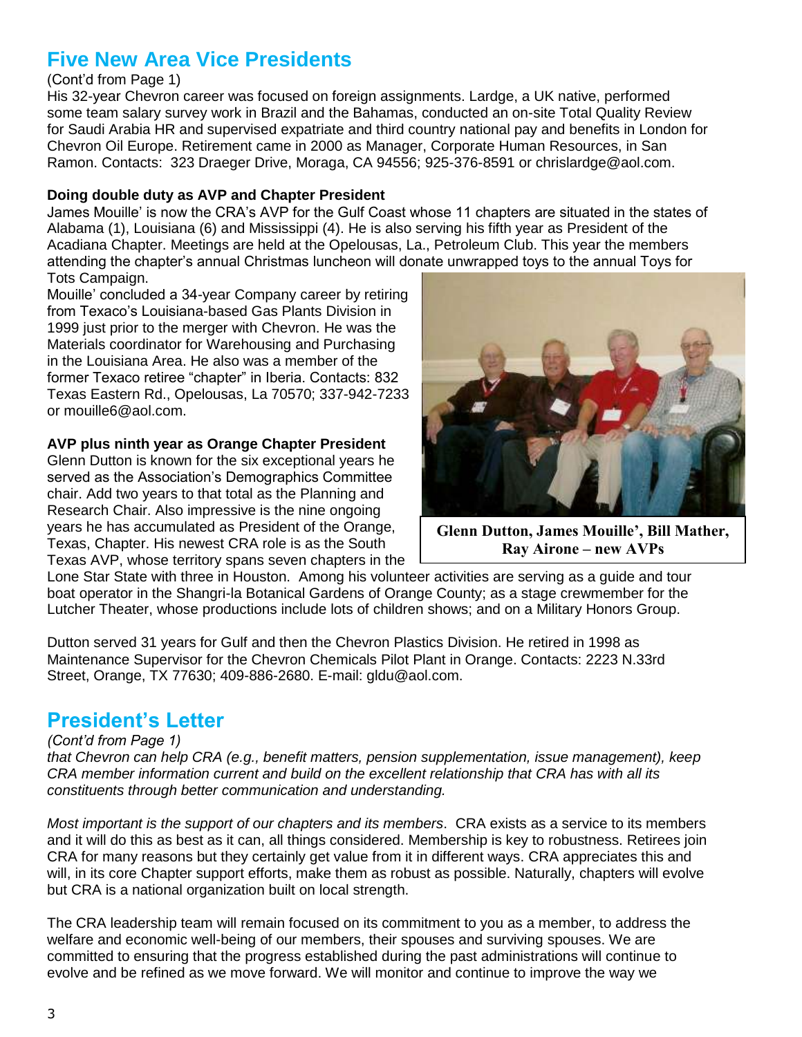# **Five New Area Vice Presidents**

### (Cont'd from Page 1)

His 32-year Chevron career was focused on foreign assignments. Lardge, a UK native, performed some team salary survey work in Brazil and the Bahamas, conducted an on-site Total Quality Review for Saudi Arabia HR and supervised expatriate and third country national pay and benefits in London for Chevron Oil Europe. Retirement came in 2000 as Manager, Corporate Human Resources, in San Ramon. Contacts: 323 Draeger Drive, Moraga, CA 94556; 925-376-8591 or chrislardge@aol.com.

### **Doing double duty as AVP and Chapter President**

James Mouille' is now the CRA's AVP for the Gulf Coast whose 11 chapters are situated in the states of Alabama (1), Louisiana (6) and Mississippi (4). He is also serving his fifth year as President of the Acadiana Chapter. Meetings are held at the Opelousas, La., Petroleum Club. This year the members attending the chapter's annual Christmas luncheon will donate unwrapped toys to the annual Toys for Tots Campaign.

Mouille' concluded a 34-year Company career by retiring from Texaco's Louisiana-based Gas Plants Division in 1999 just prior to the merger with Chevron. He was the Materials coordinator for Warehousing and Purchasing in the Louisiana Area. He also was a member of the former Texaco retiree "chapter" in Iberia. Contacts: 832 Texas Eastern Rd., Opelousas, La 70570; 337-942-7233 or mouille6@aol.com.

### **AVP plus ninth year as Orange Chapter President**

Glenn Dutton is known for the six exceptional years he served as the Association's Demographics Committee chair. Add two years to that total as the Planning and Research Chair. Also impressive is the nine ongoing years he has accumulated as President of the Orange, Texas, Chapter. His newest CRA role is as the South Texas AVP, whose territory spans seven chapters in the



**Glenn Dutton, James Mouille', Bill Mather, Ray Airone – new AVPs**

Lone Star State with three in Houston. Among his volunteer activities are serving as a guide and tour boat operator in the Shangri-la Botanical Gardens of Orange County; as a stage crewmember for the Lutcher Theater, whose productions include lots of children shows; and on a Military Honors Group.

Dutton served 31 years for Gulf and then the Chevron Plastics Division. He retired in 1998 as Maintenance Supervisor for the Chevron Chemicals Pilot Plant in Orange. Contacts: 2223 N.33rd Street, Orange, TX 77630; 409-886-2680. E-mail: gldu@aol.com.

## **President's Letter**

### *(Cont'd from Page 1)*

*that Chevron can help CRA (e.g., benefit matters, pension supplementation, issue management), keep CRA member information current and build on the excellent relationship that CRA has with all its constituents through better communication and understanding.*

*Most important is the support of our chapters and its members*. CRA exists as a service to its members and it will do this as best as it can, all things considered. Membership is key to robustness. Retirees join CRA for many reasons but they certainly get value from it in different ways. CRA appreciates this and will, in its core Chapter support efforts, make them as robust as possible. Naturally, chapters will evolve but CRA is a national organization built on local strength.

The CRA leadership team will remain focused on its commitment to you as a member, to address the welfare and economic well-being of our members, their spouses and surviving spouses. We are committed to ensuring that the progress established during the past administrations will continue to evolve and be refined as we move forward. We will monitor and continue to improve the way we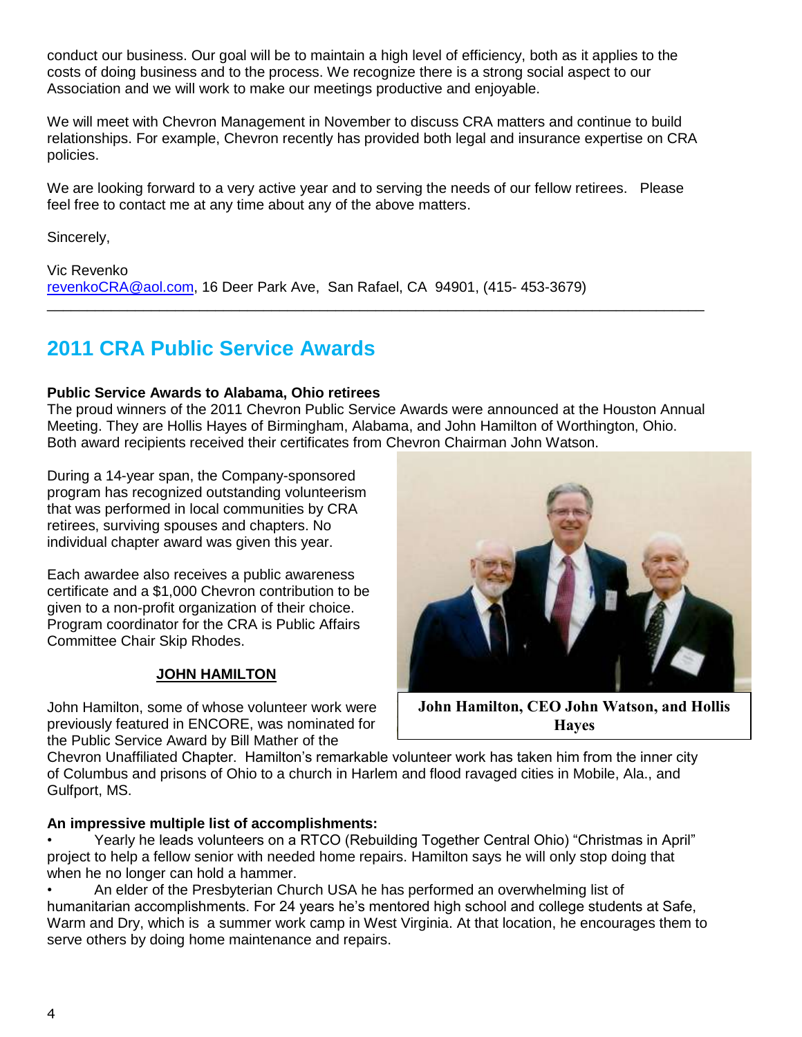conduct our business. Our goal will be to maintain a high level of efficiency, both as it applies to the costs of doing business and to the process. We recognize there is a strong social aspect to our Association and we will work to make our meetings productive and enjoyable.

We will meet with Chevron Management in November to discuss CRA matters and continue to build relationships. For example, Chevron recently has provided both legal and insurance expertise on CRA policies.

We are looking forward to a very active year and to serving the needs of our fellow retirees. Please feel free to contact me at any time about any of the above matters.

Sincerely,

Vic Revenko [revenkoCRA@aol.com,](mailto:revenkoCRA@aol.com) 16 Deer Park Ave, San Rafael, CA 94901, (415- 453-3679) \_\_\_\_\_\_\_\_\_\_\_\_\_\_\_\_\_\_\_\_\_\_\_\_\_\_\_\_\_\_\_\_\_\_\_\_\_\_\_\_\_\_\_\_\_\_\_\_\_\_\_\_\_\_\_\_\_\_\_\_\_\_\_\_\_\_\_\_\_\_\_\_\_\_\_\_\_\_\_\_\_\_

# **2011 CRA Public Service Awards**

### **Public Service Awards to Alabama, Ohio retirees**

The proud winners of the 2011 Chevron Public Service Awards were announced at the Houston Annual Meeting. They are Hollis Hayes of Birmingham, Alabama, and John Hamilton of Worthington, Ohio. Both award recipients received their certificates from Chevron Chairman John Watson.

During a 14-year span, the Company-sponsored program has recognized outstanding volunteerism that was performed in local communities by CRA retirees, surviving spouses and chapters. No individual chapter award was given this year.

Each awardee also receives a public awareness certificate and a \$1,000 Chevron contribution to be given to a non-profit organization of their choice. Program coordinator for the CRA is Public Affairs Committee Chair Skip Rhodes.

### **JOHN HAMILTON**

John Hamilton, some of whose volunteer work were previously featured in ENCORE, was nominated for the Public Service Award by Bill Mather of the



**John Hamilton, CEO John Watson, and Hollis Hayes**

Chevron Unaffiliated Chapter. Hamilton's remarkable volunteer work has taken him from the inner city of Columbus and prisons of Ohio to a church in Harlem and flood ravaged cities in Mobile, Ala., and Gulfport, MS.

### **An impressive multiple list of accomplishments:**

• Yearly he leads volunteers on a RTCO (Rebuilding Together Central Ohio) "Christmas in April" project to help a fellow senior with needed home repairs. Hamilton says he will only stop doing that when he no longer can hold a hammer.

• An elder of the Presbyterian Church USA he has performed an overwhelming list of humanitarian accomplishments. For 24 years he's mentored high school and college students at Safe, Warm and Dry, which is a summer work camp in West Virginia. At that location, he encourages them to serve others by doing home maintenance and repairs.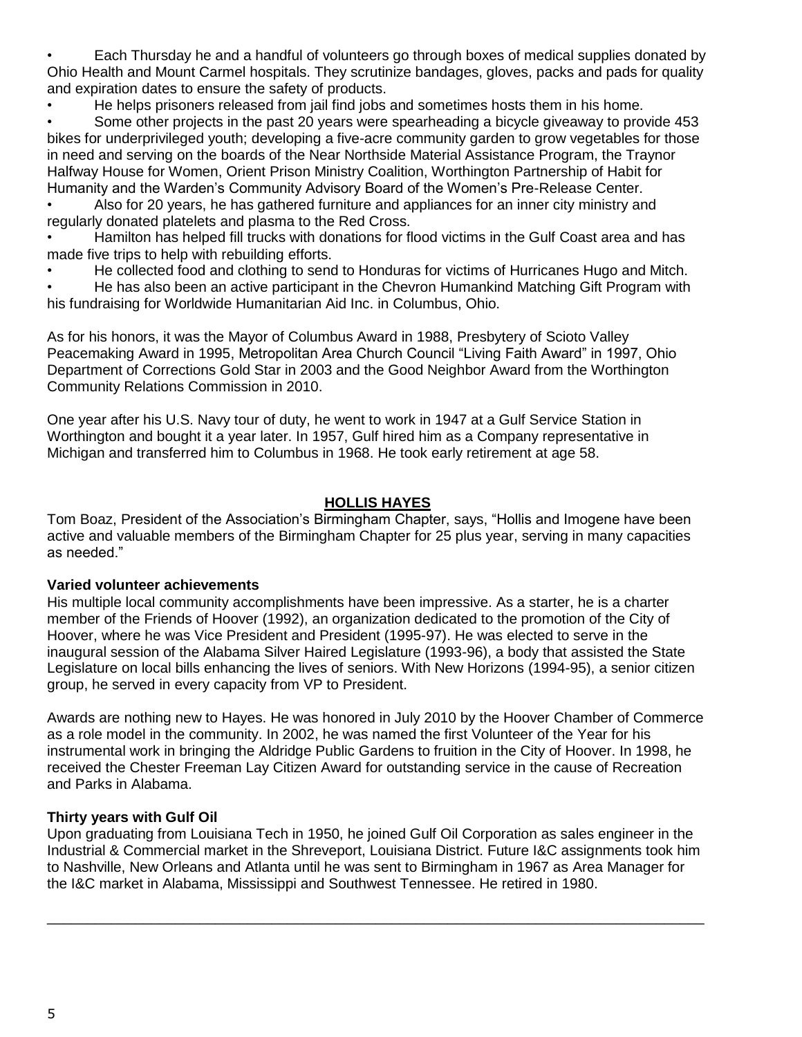• Each Thursday he and a handful of volunteers go through boxes of medical supplies donated by Ohio Health and Mount Carmel hospitals. They scrutinize bandages, gloves, packs and pads for quality and expiration dates to ensure the safety of products.

• He helps prisoners released from jail find jobs and sometimes hosts them in his home.

• Some other projects in the past 20 years were spearheading a bicycle giveaway to provide 453 bikes for underprivileged youth; developing a five-acre community garden to grow vegetables for those in need and serving on the boards of the Near Northside Material Assistance Program, the Traynor Halfway House for Women, Orient Prison Ministry Coalition, Worthington Partnership of Habit for Humanity and the Warden's Community Advisory Board of the Women's Pre-Release Center.

• Also for 20 years, he has gathered furniture and appliances for an inner city ministry and regularly donated platelets and plasma to the Red Cross.

• Hamilton has helped fill trucks with donations for flood victims in the Gulf Coast area and has made five trips to help with rebuilding efforts.

• He collected food and clothing to send to Honduras for victims of Hurricanes Hugo and Mitch.

• He has also been an active participant in the Chevron Humankind Matching Gift Program with his fundraising for Worldwide Humanitarian Aid Inc. in Columbus, Ohio.

As for his honors, it was the Mayor of Columbus Award in 1988, Presbytery of Scioto Valley Peacemaking Award in 1995, Metropolitan Area Church Council "Living Faith Award" in 1997, Ohio Department of Corrections Gold Star in 2003 and the Good Neighbor Award from the Worthington Community Relations Commission in 2010.

One year after his U.S. Navy tour of duty, he went to work in 1947 at a Gulf Service Station in Worthington and bought it a year later. In 1957, Gulf hired him as a Company representative in Michigan and transferred him to Columbus in 1968. He took early retirement at age 58.

### **HOLLIS HAYES**

Tom Boaz, President of the Association's Birmingham Chapter, says, "Hollis and Imogene have been active and valuable members of the Birmingham Chapter for 25 plus year, serving in many capacities as needed."

### **Varied volunteer achievements**

His multiple local community accomplishments have been impressive. As a starter, he is a charter member of the Friends of Hoover (1992), an organization dedicated to the promotion of the City of Hoover, where he was Vice President and President (1995-97). He was elected to serve in the inaugural session of the Alabama Silver Haired Legislature (1993-96), a body that assisted the State Legislature on local bills enhancing the lives of seniors. With New Horizons (1994-95), a senior citizen group, he served in every capacity from VP to President.

Awards are nothing new to Hayes. He was honored in July 2010 by the Hoover Chamber of Commerce as a role model in the community. In 2002, he was named the first Volunteer of the Year for his instrumental work in bringing the Aldridge Public Gardens to fruition in the City of Hoover. In 1998, he received the Chester Freeman Lay Citizen Award for outstanding service in the cause of Recreation and Parks in Alabama.

### **Thirty years with Gulf Oil**

Upon graduating from Louisiana Tech in 1950, he joined Gulf Oil Corporation as sales engineer in the Industrial & Commercial market in the Shreveport, Louisiana District. Future I&C assignments took him to Nashville, New Orleans and Atlanta until he was sent to Birmingham in 1967 as Area Manager for the I&C market in Alabama, Mississippi and Southwest Tennessee. He retired in 1980.

\_\_\_\_\_\_\_\_\_\_\_\_\_\_\_\_\_\_\_\_\_\_\_\_\_\_\_\_\_\_\_\_\_\_\_\_\_\_\_\_\_\_\_\_\_\_\_\_\_\_\_\_\_\_\_\_\_\_\_\_\_\_\_\_\_\_\_\_\_\_\_\_\_\_\_\_\_\_\_\_\_\_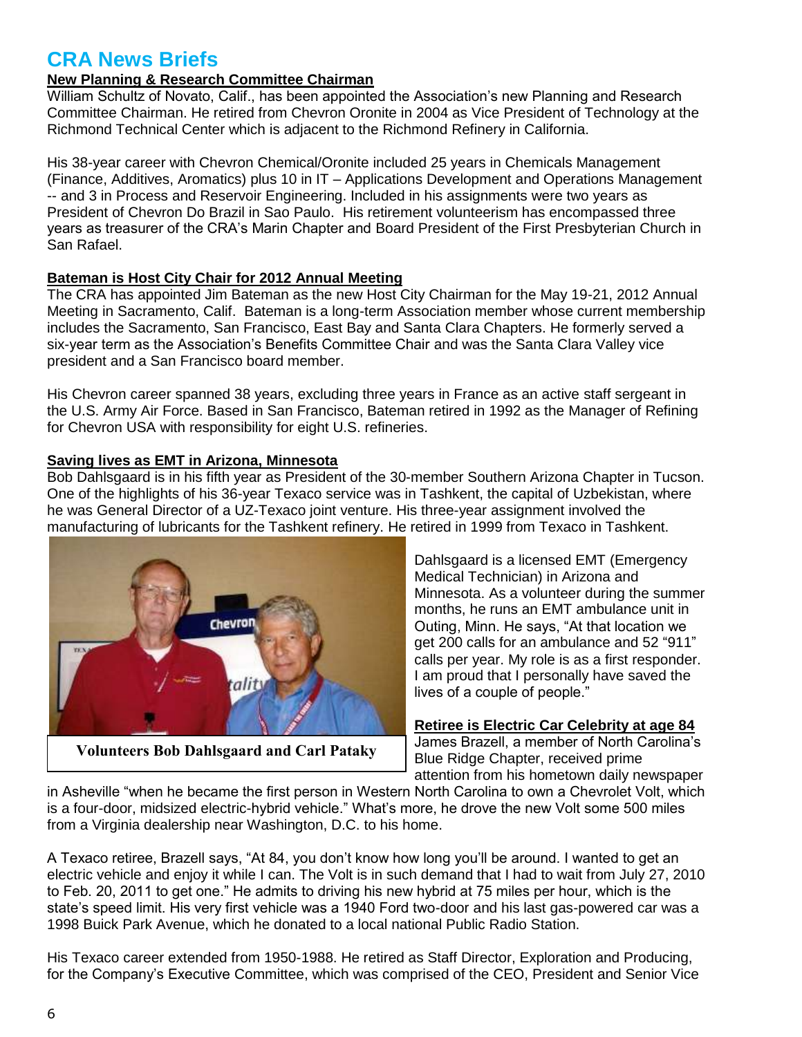# **CRA News Briefs**

## **New Planning & Research Committee Chairman**

William Schultz of Novato, Calif., has been appointed the Association's new Planning and Research Committee Chairman. He retired from Chevron Oronite in 2004 as Vice President of Technology at the Richmond Technical Center which is adjacent to the Richmond Refinery in California.

His 38-year career with Chevron Chemical/Oronite included 25 years in Chemicals Management (Finance, Additives, Aromatics) plus 10 in IT – Applications Development and Operations Management -- and 3 in Process and Reservoir Engineering. Included in his assignments were two years as President of Chevron Do Brazil in Sao Paulo. His retirement volunteerism has encompassed three years as treasurer of the CRA's Marin Chapter and Board President of the First Presbyterian Church in San Rafael.

### **Bateman is Host City Chair for 2012 Annual Meeting**

The CRA has appointed Jim Bateman as the new Host City Chairman for the May 19-21, 2012 Annual Meeting in Sacramento, Calif. Bateman is a long-term Association member whose current membership includes the Sacramento, San Francisco, East Bay and Santa Clara Chapters. He formerly served a six-year term as the Association's Benefits Committee Chair and was the Santa Clara Valley vice president and a San Francisco board member.

His Chevron career spanned 38 years, excluding three years in France as an active staff sergeant in the U.S. Army Air Force. Based in San Francisco, Bateman retired in 1992 as the Manager of Refining for Chevron USA with responsibility for eight U.S. refineries.

### **Saving lives as EMT in Arizona, Minnesota**

Bob Dahlsgaard is in his fifth year as President of the 30-member Southern Arizona Chapter in Tucson. One of the highlights of his 36-year Texaco service was in Tashkent, the capital of Uzbekistan, where he was General Director of a UZ-Texaco joint venture. His three-year assignment involved the manufacturing of lubricants for the Tashkent refinery. He retired in 1999 from Texaco in Tashkent.



**Volunteers Bob Dahlsgaard and Carl Pataky**

Dahlsgaard is a licensed EMT (Emergency Medical Technician) in Arizona and Minnesota. As a volunteer during the summer months, he runs an EMT ambulance unit in Outing, Minn. He says, "At that location we get 200 calls for an ambulance and 52 "911" calls per year. My role is as a first responder. I am proud that I personally have saved the lives of a couple of people."

### **Retiree is Electric Car Celebrity at age 84**

James Brazell, a member of North Carolina's Blue Ridge Chapter, received prime attention from his hometown daily newspaper

in Asheville "when he became the first person in Western North Carolina to own a Chevrolet Volt, which is a four-door, midsized electric-hybrid vehicle." What's more, he drove the new Volt some 500 miles from a Virginia dealership near Washington, D.C. to his home.

A Texaco retiree, Brazell says, "At 84, you don't know how long you'll be around. I wanted to get an electric vehicle and enjoy it while I can. The Volt is in such demand that I had to wait from July 27, 2010 to Feb. 20, 2011 to get one." He admits to driving his new hybrid at 75 miles per hour, which is the state's speed limit. His very first vehicle was a 1940 Ford two-door and his last gas-powered car was a 1998 Buick Park Avenue, which he donated to a local national Public Radio Station.

His Texaco career extended from 1950-1988. He retired as Staff Director, Exploration and Producing, for the Company's Executive Committee, which was comprised of the CEO, President and Senior Vice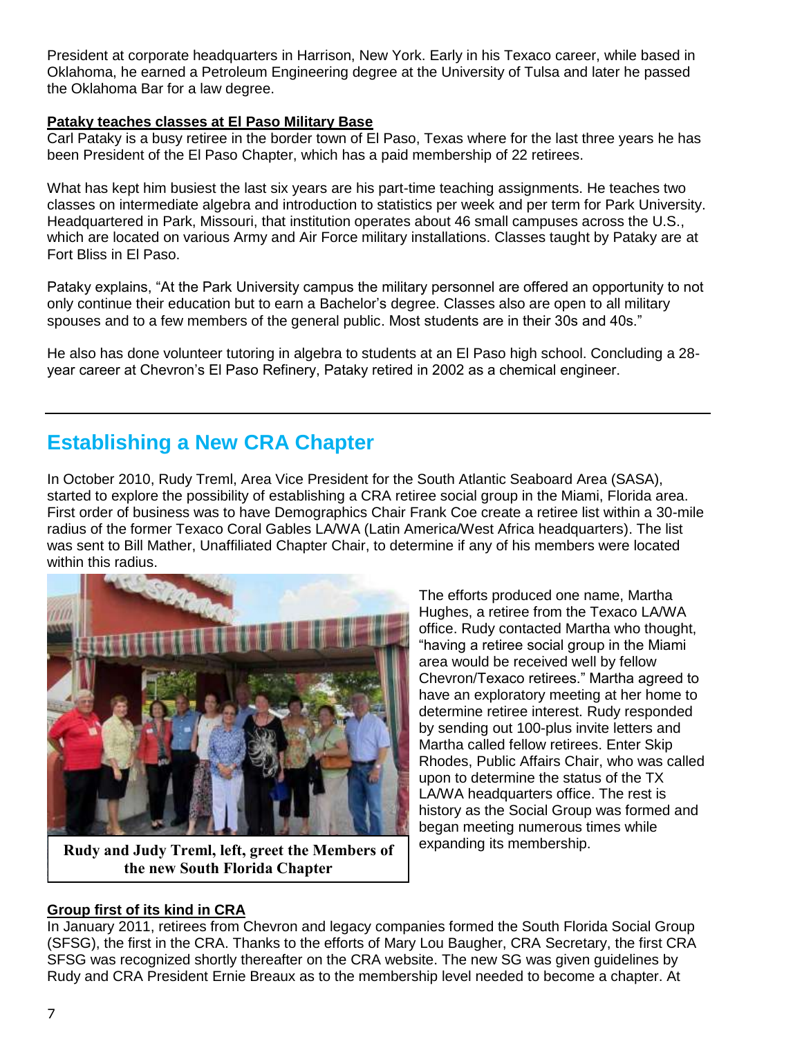President at corporate headquarters in Harrison, New York. Early in his Texaco career, while based in Oklahoma, he earned a Petroleum Engineering degree at the University of Tulsa and later he passed the Oklahoma Bar for a law degree.

### **Pataky teaches classes at El Paso Military Base**

Carl Pataky is a busy retiree in the border town of El Paso, Texas where for the last three years he has been President of the El Paso Chapter, which has a paid membership of 22 retirees.

What has kept him busiest the last six years are his part-time teaching assignments. He teaches two classes on intermediate algebra and introduction to statistics per week and per term for Park University. Headquartered in Park, Missouri, that institution operates about 46 small campuses across the U.S., which are located on various Army and Air Force military installations. Classes taught by Pataky are at Fort Bliss in El Paso.

Pataky explains, "At the Park University campus the military personnel are offered an opportunity to not only continue their education but to earn a Bachelor's degree. Classes also are open to all military spouses and to a few members of the general public. Most students are in their 30s and 40s."

He also has done volunteer tutoring in algebra to students at an El Paso high school. Concluding a 28 year career at Chevron's El Paso Refinery, Pataky retired in 2002 as a chemical engineer.

# **Establishing a New CRA Chapter**

In October 2010, Rudy Treml, Area Vice President for the South Atlantic Seaboard Area (SASA), started to explore the possibility of establishing a CRA retiree social group in the Miami, Florida area. First order of business was to have Demographics Chair Frank Coe create a retiree list within a 30-mile radius of the former Texaco Coral Gables LA/WA (Latin America/West Africa headquarters). The list was sent to Bill Mather, Unaffiliated Chapter Chair, to determine if any of his members were located within this radius.



**Rudy and Judy Treml, left, greet the Members of the new South Florida Chapter**

The efforts produced one name, Martha Hughes, a retiree from the Texaco LA/WA office. Rudy contacted Martha who thought, "having a retiree social group in the Miami area would be received well by fellow Chevron/Texaco retirees." Martha agreed to have an exploratory meeting at her home to determine retiree interest. Rudy responded by sending out 100-plus invite letters and Martha called fellow retirees. Enter Skip Rhodes, Public Affairs Chair, who was called upon to determine the status of the TX LA/WA headquarters office. The rest is history as the Social Group was formed and began meeting numerous times while expanding its membership.

### **Group first of its kind in CRA**

In January 2011, retirees from Chevron and legacy companies formed the South Florida Social Group (SFSG), the first in the CRA. Thanks to the efforts of Mary Lou Baugher, CRA Secretary, the first CRA SFSG was recognized shortly thereafter on the CRA website. The new SG was given guidelines by Rudy and CRA President Ernie Breaux as to the membership level needed to become a chapter. At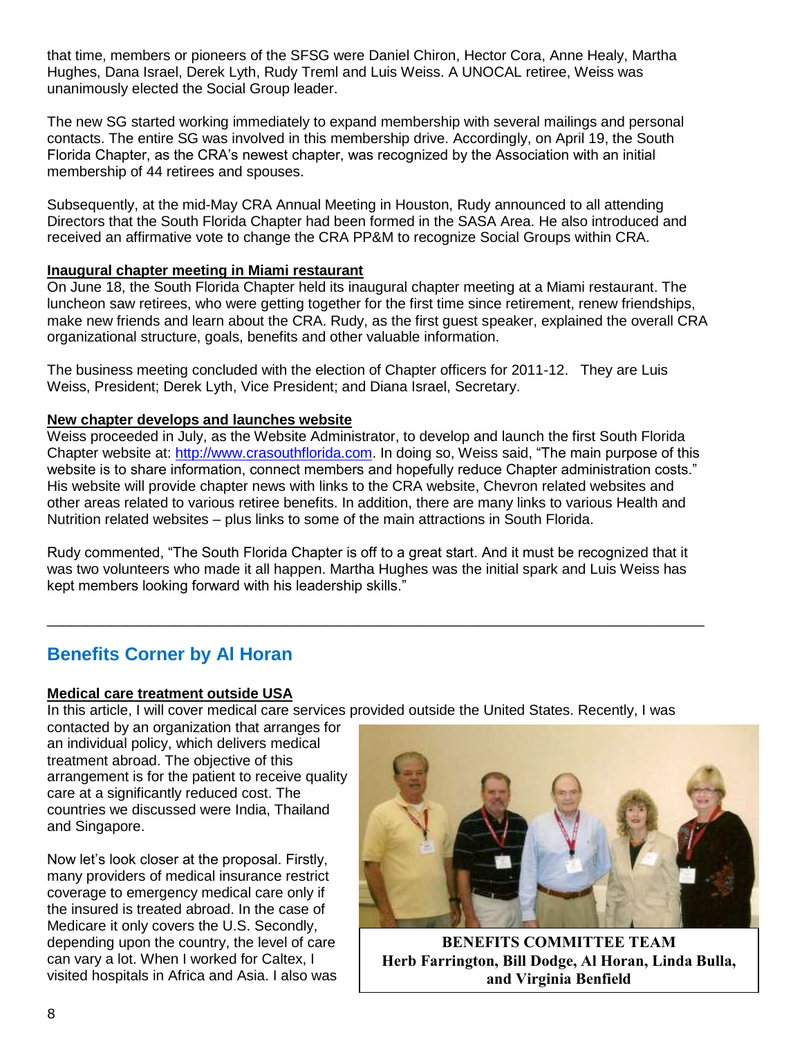that time, members or pioneers of the SFSG were Daniel Chiron, Hector Cora, Anne Healy, Martha Hughes, Dana Israel, Derek Lyth, Rudy Treml and Luis Weiss. A UNOCAL retiree, Weiss was unanimously elected the Social Group leader.

The new SG started working immediately to expand membership with several mailings and personal contacts. The entire SG was involved in this membership drive. Accordingly, on April 19, the South Florida Chapter, as the CRA's newest chapter, was recognized by the Association with an initial membership of 44 retirees and spouses.

Subsequently, at the mid-May CRA Annual Meeting in Houston, Rudy announced to all attending Directors that the South Florida Chapter had been formed in the SASA Area. He also introduced and received an affirmative vote to change the CRA PP&M to recognize Social Groups within CRA.

### **Inaugural chapter meeting in Miami restaurant**

On June 18, the South Florida Chapter held its inaugural chapter meeting at a Miami restaurant. The luncheon saw retirees, who were getting together for the first time since retirement, renew friendships, make new friends and learn about the CRA. Rudy, as the first guest speaker, explained the overall CRA organizational structure, goals, benefits and other valuable information.

The business meeting concluded with the election of Chapter officers for 2011-12. They are Luis Weiss, President; Derek Lyth, Vice President; and Diana Israel, Secretary.

### **New chapter develops and launches website**

Weiss proceeded in July, as the Website Administrator, to develop and launch the first South Florida Chapter website at: [http://www.crasouthflorida.com.](http://www.crasouthflorida.com/) In doing so, Weiss said, "The main purpose of this website is to share information, connect members and hopefully reduce Chapter administration costs." His website will provide chapter news with links to the CRA website, Chevron related websites and other areas related to various retiree benefits. In addition, there are many links to various Health and Nutrition related websites – plus links to some of the main attractions in South Florida.

Rudy commented, "The South Florida Chapter is off to a great start. And it must be recognized that it was two volunteers who made it all happen. Martha Hughes was the initial spark and Luis Weiss has kept members looking forward with his leadership skills."

\_\_\_\_\_\_\_\_\_\_\_\_\_\_\_\_\_\_\_\_\_\_\_\_\_\_\_\_\_\_\_\_\_\_\_\_\_\_\_\_\_\_\_\_\_\_\_\_\_\_\_\_\_\_\_\_\_\_\_\_\_\_\_\_\_\_\_\_\_\_\_\_\_\_\_\_\_\_\_\_\_\_

## **Benefits Corner by Al Horan**

### **Medical care treatment outside USA**

In this article, I will cover medical care services provided outside the United States. Recently, I was

contacted by an organization that arranges for an individual policy, which delivers medical treatment abroad. The objective of this arrangement is for the patient to receive quality care at a significantly reduced cost. The countries we discussed were India, Thailand and Singapore.

Now let's look closer at the proposal. Firstly, many providers of medical insurance restrict coverage to emergency medical care only if the insured is treated abroad. In the case of Medicare it only covers the U.S. Secondly, depending upon the country, the level of care can vary a lot. When I worked for Caltex, I visited hospitals in Africa and Asia. I also was



**BENEFITS COMMITTEE TEAM Herb Farrington, Bill Dodge, Al Horan, Linda Bulla, and Virginia Benfield**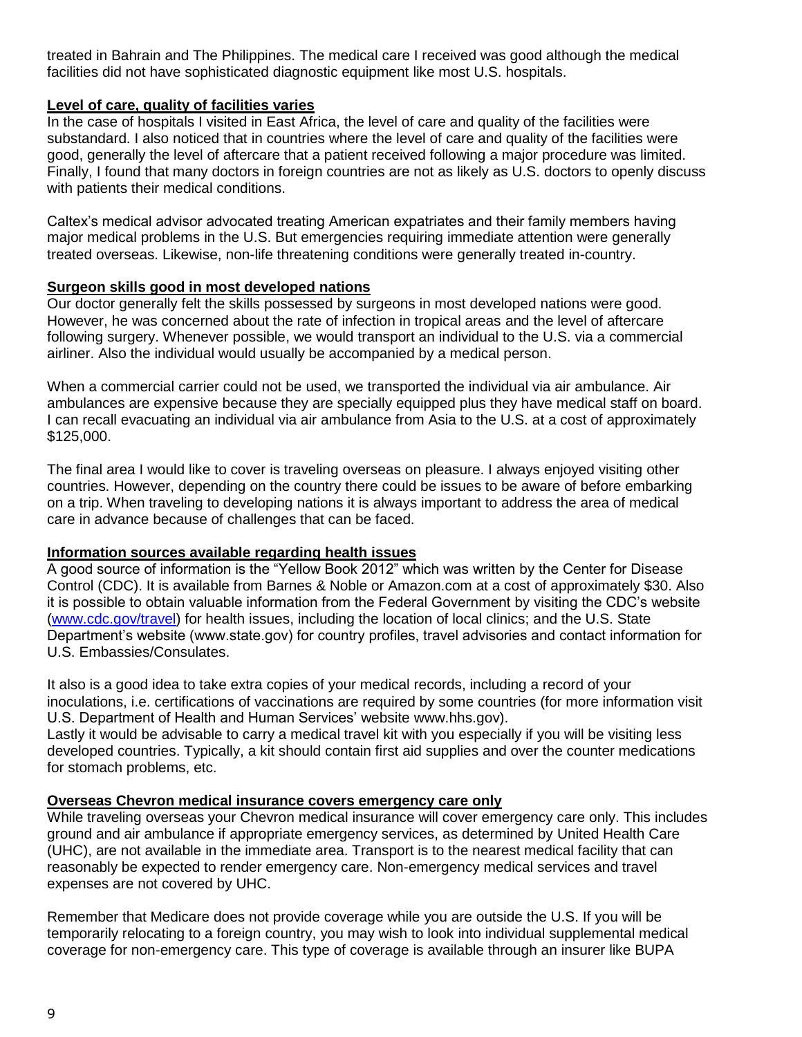treated in Bahrain and The Philippines. The medical care I received was good although the medical facilities did not have sophisticated diagnostic equipment like most U.S. hospitals.

### **Level of care, quality of facilities varies**

In the case of hospitals I visited in East Africa, the level of care and quality of the facilities were substandard. I also noticed that in countries where the level of care and quality of the facilities were good, generally the level of aftercare that a patient received following a major procedure was limited. Finally, I found that many doctors in foreign countries are not as likely as U.S. doctors to openly discuss with patients their medical conditions.

Caltex's medical advisor advocated treating American expatriates and their family members having major medical problems in the U.S. But emergencies requiring immediate attention were generally treated overseas. Likewise, non-life threatening conditions were generally treated in-country.

### **Surgeon skills good in most developed nations**

Our doctor generally felt the skills possessed by surgeons in most developed nations were good. However, he was concerned about the rate of infection in tropical areas and the level of aftercare following surgery. Whenever possible, we would transport an individual to the U.S. via a commercial airliner. Also the individual would usually be accompanied by a medical person.

When a commercial carrier could not be used, we transported the individual via air ambulance. Air ambulances are expensive because they are specially equipped plus they have medical staff on board. I can recall evacuating an individual via air ambulance from Asia to the U.S. at a cost of approximately \$125,000.

The final area I would like to cover is traveling overseas on pleasure. I always enjoyed visiting other countries. However, depending on the country there could be issues to be aware of before embarking on a trip. When traveling to developing nations it is always important to address the area of medical care in advance because of challenges that can be faced.

### **Information sources available regarding health issues**

A good source of information is the "Yellow Book 2012" which was written by the Center for Disease Control (CDC). It is available from Barnes & Noble or Amazon.com at a cost of approximately \$30. Also it is possible to obtain valuable information from the Federal Government by visiting the CDC's website [\(www.cdc.gov/travel\)](file:///C:/Users/Dennis/Desktop/www.cdc.gov/travel) for health issues, including the location of local clinics; and the U.S. State Department's website (www.state.gov) for country profiles, travel advisories and contact information for U.S. Embassies/Consulates.

It also is a good idea to take extra copies of your medical records, including a record of your inoculations, i.e. certifications of vaccinations are required by some countries (for more information visit U.S. Department of Health and Human Services' website www.hhs.gov).

Lastly it would be advisable to carry a medical travel kit with you especially if you will be visiting less developed countries. Typically, a kit should contain first aid supplies and over the counter medications for stomach problems, etc.

### **Overseas Chevron medical insurance covers emergency care only**

While traveling overseas your Chevron medical insurance will cover emergency care only. This includes ground and air ambulance if appropriate emergency services, as determined by United Health Care (UHC), are not available in the immediate area. Transport is to the nearest medical facility that can reasonably be expected to render emergency care. Non-emergency medical services and travel expenses are not covered by UHC.

Remember that Medicare does not provide coverage while you are outside the U.S. If you will be temporarily relocating to a foreign country, you may wish to look into individual supplemental medical coverage for non-emergency care. This type of coverage is available through an insurer like BUPA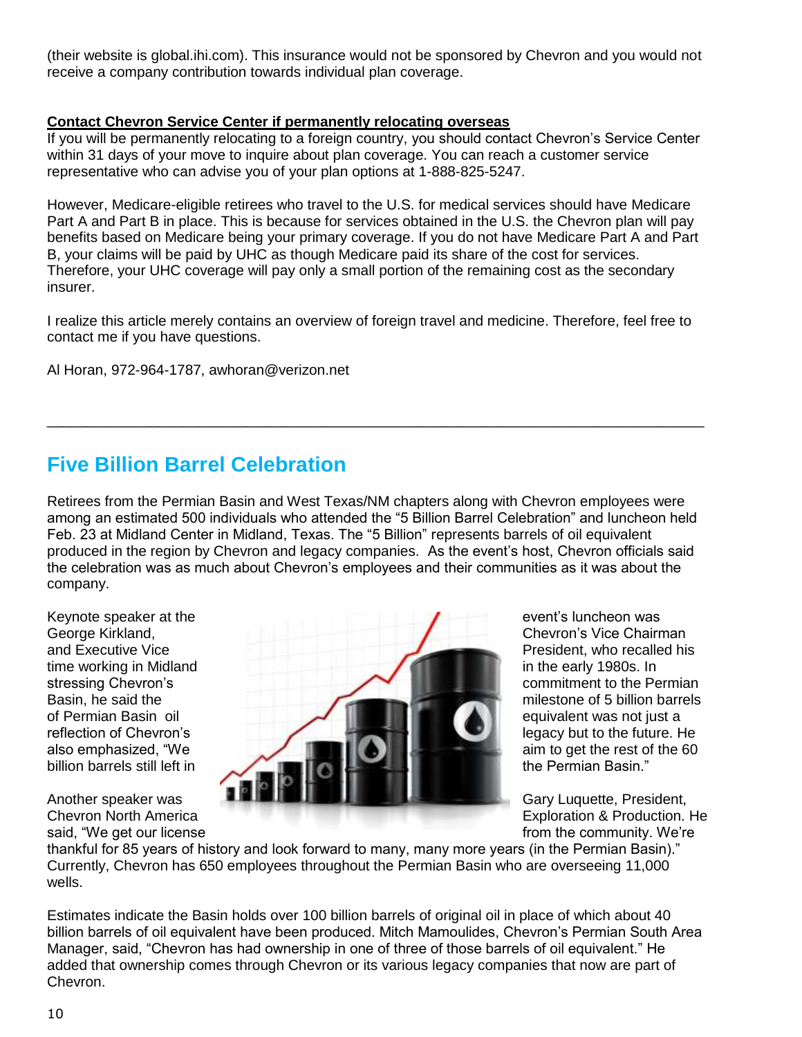(their website is global.ihi.com). This insurance would not be sponsored by Chevron and you would not receive a company contribution towards individual plan coverage.

### **Contact Chevron Service Center if permanently relocating overseas**

If you will be permanently relocating to a foreign country, you should contact Chevron's Service Center within 31 days of your move to inquire about plan coverage. You can reach a customer service representative who can advise you of your plan options at 1-888-825-5247.

However, Medicare-eligible retirees who travel to the U.S. for medical services should have Medicare Part A and Part B in place. This is because for services obtained in the U.S. the Chevron plan will pay benefits based on Medicare being your primary coverage. If you do not have Medicare Part A and Part B, your claims will be paid by UHC as though Medicare paid its share of the cost for services. Therefore, your UHC coverage will pay only a small portion of the remaining cost as the secondary insurer.

I realize this article merely contains an overview of foreign travel and medicine. Therefore, feel free to contact me if you have questions.

\_\_\_\_\_\_\_\_\_\_\_\_\_\_\_\_\_\_\_\_\_\_\_\_\_\_\_\_\_\_\_\_\_\_\_\_\_\_\_\_\_\_\_\_\_\_\_\_\_\_\_\_\_\_\_\_\_\_\_\_\_\_\_\_\_\_\_\_\_\_\_\_\_\_\_\_\_\_\_\_\_\_

Al Horan, 972-964-1787, awhoran@verizon.net

# **Five Billion Barrel Celebration**

Retirees from the Permian Basin and West Texas/NM chapters along with Chevron employees were among an estimated 500 individuals who attended the "5 Billion Barrel Celebration" and luncheon held Feb. 23 at Midland Center in Midland, Texas. The "5 Billion" represents barrels of oil equivalent produced in the region by Chevron and legacy companies. As the event's host, Chevron officials said the celebration was as much about Chevron's employees and their communities as it was about the company.



said, "We get our license from the community. We're

thankful for 85 years of history and look forward to many, many more years (in the Permian Basin)." Currently, Chevron has 650 employees throughout the Permian Basin who are overseeing 11,000 wells.

Estimates indicate the Basin holds over 100 billion barrels of original oil in place of which about 40 billion barrels of oil equivalent have been produced. Mitch Mamoulides, Chevron's Permian South Area Manager, said, "Chevron has had ownership in one of three of those barrels of oil equivalent." He added that ownership comes through Chevron or its various legacy companies that now are part of Chevron.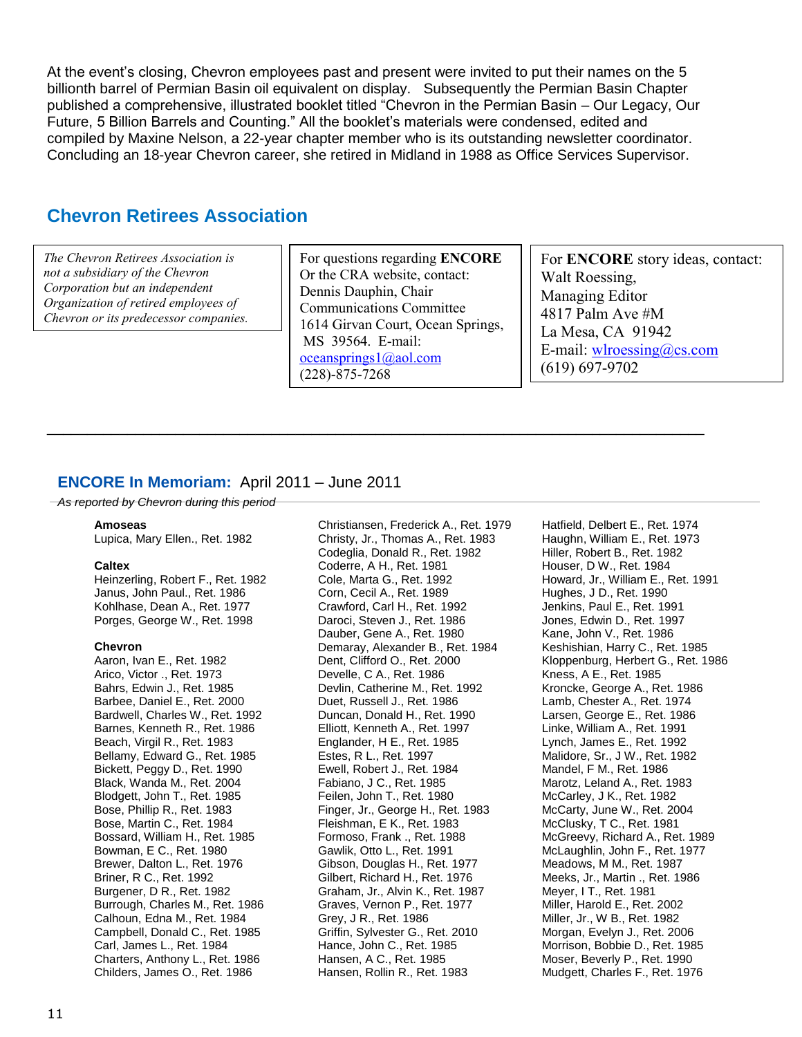At the event's closing, Chevron employees past and present were invited to put their names on the 5 billionth barrel of Permian Basin oil equivalent on display. Subsequently the Permian Basin Chapter published a comprehensive, illustrated booklet titled "Chevron in the Permian Basin – Our Legacy, Our Future, 5 Billion Barrels and Counting." All the booklet's materials were condensed, edited and compiled by Maxine Nelson, a 22-year chapter member who is its outstanding newsletter coordinator. Concluding an 18-year Chevron career, she retired in Midland in 1988 as Office Services Supervisor.

## **Chevron Retirees Association**

*The Chevron Retirees Association is not a subsidiary of the Chevron Corporation but an independent Organization of retired employees of Chevron or its predecessor companies.* For questions regarding **ENCORE** Or the CRA website, contact: Dennis Dauphin, Chair Communications Committee 1614 Girvan Court, Ocean Springs, MS 39564. E-mail: [oceansprings1@aol.com](mailto:oceansprings1@aol.com) (228)-875-7268

\_\_\_\_\_\_\_\_\_\_\_\_\_\_\_\_\_\_\_\_\_\_\_\_\_\_\_\_\_\_\_\_\_\_\_\_\_\_\_\_\_\_\_\_\_\_\_\_\_\_\_\_\_\_\_\_\_\_\_\_\_\_\_\_\_\_\_\_\_\_\_\_\_\_\_\_\_\_\_\_\_\_

For **ENCORE** story ideas, contact: Walt Roessing, Managing Editor 4817 Palm Ave #M La Mesa, CA 91942 E-mail: [wlroessing@cs.com](mailto:wlroessing@cs.com) (619) 697-9702

## **ENCORE In Memoriam:** April 2011 – June 2011

*As reported by Chevron during this period*

### **Amoseas**

Lupica, Mary Ellen., Ret. 1982

### **Caltex**

Heinzerling, Robert F., Ret. 1982 Janus, John Paul., Ret. 1986 Kohlhase, Dean A., Ret. 1977 Porges, George W., Ret. 1998

### **Chevron**

Aaron, Ivan E., Ret. 1982 Arico, Victor ., Ret. 1973 Bahrs, Edwin J., Ret. 1985 Barbee, Daniel E., Ret. 2000 Bardwell, Charles W., Ret. 1992 Barnes, Kenneth R., Ret. 1986 Beach, Virgil R., Ret. 1983 Bellamy, Edward G., Ret. 1985 Bickett, Peggy D., Ret. 1990 Black, Wanda M., Ret. 2004 Blodgett, John T., Ret. 1985 Bose, Phillip R., Ret. 1983 Bose, Martin C., Ret. 1984 Bossard, William H., Ret. 1985 Bowman, E C., Ret. 1980 Brewer, Dalton L., Ret. 1976 Briner, R C., Ret. 1992 Burgener, D R., Ret. 1982 Burrough, Charles M., Ret. 1986 Calhoun, Edna M., Ret. 1984 Campbell, Donald C., Ret. 1985 Carl, James L., Ret. 1984 Charters, Anthony L., Ret. 1986 Childers, James O., Ret. 1986

Christiansen, Frederick A., Ret. 1979 Christy, Jr., Thomas A., Ret. 1983 Codeglia, Donald R., Ret. 1982 Coderre, A H., Ret. 1981 Cole, Marta G., Ret. 1992 Corn, Cecil A., Ret. 1989 Crawford, Carl H., Ret. 1992 Daroci, Steven J., Ret. 1986 Dauber, Gene A., Ret. 1980 Demaray, Alexander B., Ret. 1984 Dent, Clifford O., Ret. 2000 Develle, C A., Ret. 1986 Devlin, Catherine M., Ret. 1992 Duet, Russell J., Ret. 1986 Duncan, Donald H., Ret. 1990 Elliott, Kenneth A., Ret. 1997 Englander, H E., Ret. 1985 Estes, R L., Ret. 1997 Ewell, Robert J., Ret. 1984 Fabiano, J C., Ret. 1985 Feilen, John T., Ret. 1980 Finger, Jr., George H., Ret. 1983 Fleishman, E K., Ret. 1983 Formoso, Frank ., Ret. 1988 Gawlik, Otto L., Ret. 1991 Gibson, Douglas H., Ret. 1977 Gilbert, Richard H., Ret. 1976 Graham, Jr., Alvin K., Ret. 1987 Graves, Vernon P., Ret. 1977 Grey, J R., Ret. 1986 Griffin, Sylvester G., Ret. 2010 Hance, John C., Ret. 1985 Hansen, A C., Ret. 1985 Hansen, Rollin R., Ret. 1983

Hatfield, Delbert E., Ret. 1974 Haughn, William E., Ret. 1973 Hiller, Robert B., Ret. 1982 Houser, D W., Ret. 1984 Howard, Jr., William E., Ret. 1991 Hughes, J D., Ret. 1990 Jenkins, Paul E., Ret. 1991 Jones, Edwin D., Ret. 1997 Kane, John V., Ret. 1986 Keshishian, Harry C., Ret. 1985 Kloppenburg, Herbert G., Ret. 1986 Kness, A E., Ret. 1985 Kroncke, George A., Ret. 1986 Lamb, Chester A., Ret. 1974 Larsen, George E., Ret. 1986 Linke, William A., Ret. 1991 Lynch, James E., Ret. 1992 Malidore, Sr., J W., Ret. 1982 Mandel, F M., Ret. 1986 Marotz, Leland A., Ret. 1983 McCarley, J K., Ret. 1982 McCarty, June W., Ret. 2004 McClusky, T C., Ret. 1981 McGreevy, Richard A., Ret. 1989 McLaughlin, John F., Ret. 1977 Meadows, M M., Ret. 1987 Meeks, Jr., Martin ., Ret. 1986 Meyer, I T., Ret. 1981 Miller, Harold E., Ret. 2002 Miller, Jr., W B., Ret. 1982 Morgan, Evelyn J., Ret. 2006 Morrison, Bobbie D., Ret. 1985 Moser, Beverly P., Ret. 1990 Mudgett, Charles F., Ret. 1976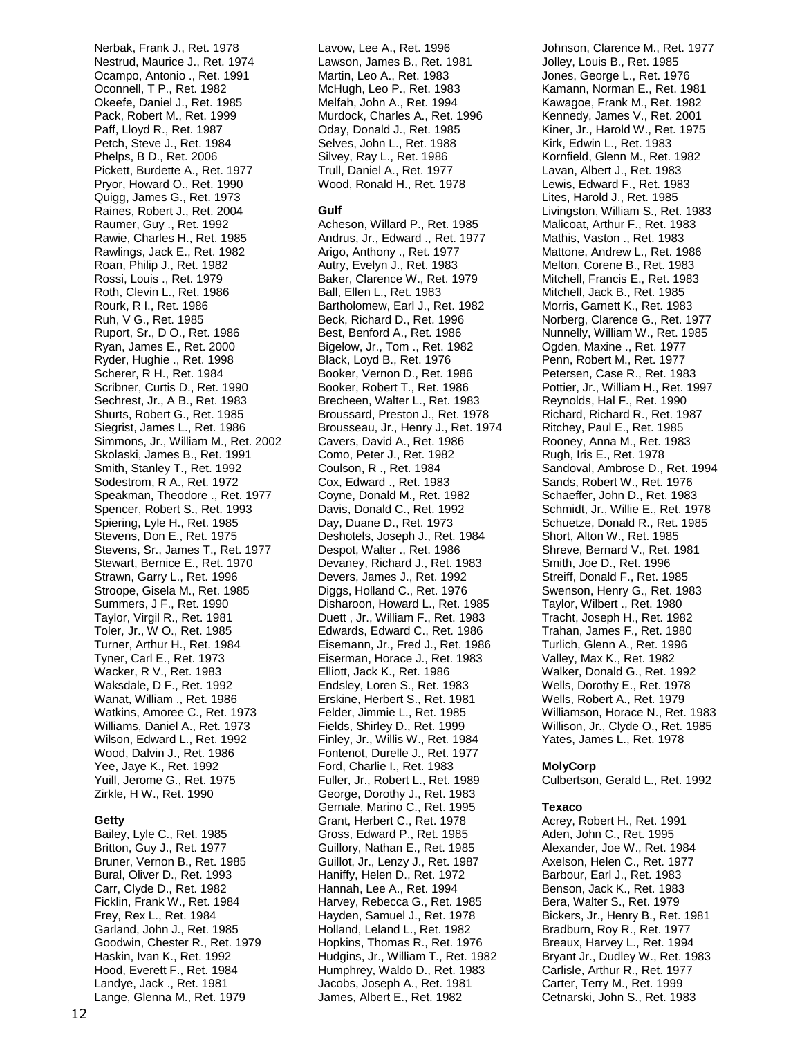Nerbak, Frank J., Ret. 1978 Nestrud, Maurice J., Ret. 1974 Ocampo, Antonio ., Ret. 1991 Oconnell, T P., Ret. 1982 Okeefe, Daniel J., Ret. 1985 Pack, Robert M., Ret. 1999 Paff, Lloyd R., Ret. 1987 Petch, Steve J., Ret. 1984 Phelps, B D., Ret. 2006 Pickett, Burdette A., Ret. 1977 Pryor, Howard O., Ret. 1990 Quigg, James G., Ret. 1973 Raines, Robert J., Ret. 2004 Raumer, Guy ., Ret. 1992 Rawie, Charles H., Ret. 1985 Rawlings, Jack E., Ret. 1982 Roan, Philip J., Ret. 1982 Rossi, Louis ., Ret. 1979 Roth, Clevin L., Ret. 1986 Rourk, R I., Ret. 1986 Ruh, V G., Ret. 1985 Ruport, Sr., D O., Ret. 1986 Ryan, James E., Ret. 2000 Ryder, Hughie ., Ret. 1998 Scherer, R H., Ret. 1984 Scribner, Curtis D., Ret. 1990 Sechrest, Jr., A B., Ret. 1983 Shurts, Robert G., Ret. 1985 Siegrist, James L., Ret. 1986 Simmons, Jr., William M., Ret. 2002 Skolaski, James B., Ret. 1991 Smith, Stanley T., Ret. 1992 Sodestrom, R A., Ret. 1972 Speakman, Theodore ., Ret. 1977 Spencer, Robert S., Ret. 1993 Spiering, Lyle H., Ret. 1985 Stevens, Don E., Ret. 1975 Stevens, Sr., James T., Ret. 1977 Stewart, Bernice E., Ret. 1970 Strawn, Garry L., Ret. 1996 Stroope, Gisela M., Ret. 1985 Summers, J F., Ret. 1990 Taylor, Virgil R., Ret. 1981 Toler, Jr., W O., Ret. 1985 Turner, Arthur H., Ret. 1984 Tyner, Carl E., Ret. 1973 Wacker, R V., Ret. 1983 Waksdale, D F., Ret. 1992 Wanat, William ., Ret. 1986 Watkins, Amoree C., Ret. 1973 Williams, Daniel A., Ret. 1973 Wilson, Edward L., Ret. 1992 Wood, Dalvin J., Ret. 1986 Yee, Jaye K., Ret. 1992 Yuill, Jerome G., Ret. 1975 Zirkle, H W., Ret. 1990

### **Getty**

Bailey, Lyle C., Ret. 1985 Britton, Guy J., Ret. 1977 Bruner, Vernon B., Ret. 1985 Bural, Oliver D., Ret. 1993 Carr, Clyde D., Ret. 1982 Ficklin, Frank W., Ret. 1984 Frey, Rex L., Ret. 1984 Garland, John J., Ret. 1985 Goodwin, Chester R., Ret. 1979 Haskin, Ivan K., Ret. 1992 Hood, Everett F., Ret. 1984 Landye, Jack ., Ret. 1981 Lange, Glenna M., Ret. 1979

Lavow, Lee A., Ret. 1996 Lawson, James B., Ret. 1981 Martin, Leo A., Ret. 1983 McHugh, Leo P., Ret. 1983 Melfah, John A., Ret. 1994 Murdock, Charles A., Ret. 1996 Oday, Donald J., Ret. 1985 Selves, John L., Ret. 1988 Silvey, Ray L., Ret. 1986 Trull, Daniel A., Ret. 1977 Wood, Ronald H., Ret. 1978

### **Gulf**

Acheson, Willard P., Ret. 1985 Andrus, Jr., Edward ., Ret. 1977 Arigo, Anthony ., Ret. 1977 Autry, Evelyn J., Ret. 1983 Baker, Clarence W., Ret. 1979 Ball, Ellen L., Ret. 1983 Bartholomew, Earl J., Ret. 1982 Beck, Richard D., Ret. 1996 Best, Benford A., Ret. 1986 Bigelow, Jr., Tom ., Ret. 1982 Black, Loyd B., Ret. 1976 Booker, Vernon D., Ret. 1986 Booker, Robert T., Ret. 1986 Brecheen, Walter L., Ret. 1983 Broussard, Preston J., Ret. 1978 Brousseau, Jr., Henry J., Ret. 1974 Cavers, David A., Ret. 1986 Como, Peter J., Ret. 1982 Coulson, R ., Ret. 1984 Cox, Edward ., Ret. 1983 Coyne, Donald M., Ret. 1982 Davis, Donald C., Ret. 1992 Day, Duane D., Ret. 1973 Deshotels, Joseph J., Ret. 1984 Despot, Walter ., Ret. 1986 Devaney, Richard J., Ret. 1983 Devers, James J., Ret. 1992 Diggs, Holland C., Ret. 1976 Disharoon, Howard L., Ret. 1985 Duett , Jr., William F., Ret. 1983 Edwards, Edward C., Ret. 1986 Eisemann, Jr., Fred J., Ret. 1986 Eiserman, Horace J., Ret. 1983 Elliott, Jack K., Ret. 1986 Endsley, Loren S., Ret. 1983 Erskine, Herbert S., Ret. 1981 Felder, Jimmie L., Ret. 1985 Fields, Shirley D., Ret. 1999 Finley, Jr., Willis W., Ret. 1984 Fontenot, Durelle J., Ret. 1977 Ford, Charlie I., Ret. 1983 Fuller, Jr., Robert L., Ret. 1989 George, Dorothy J., Ret. 1983 Gernale, Marino C., Ret. 1995 Grant, Herbert C., Ret. 1978 Gross, Edward P., Ret. 1985 Guillory, Nathan E., Ret. 1985 Guillot, Jr., Lenzy J., Ret. 1987 Haniffy, Helen D., Ret. 1972 Hannah, Lee A., Ret. 1994 Harvey, Rebecca G., Ret. 1985 Hayden, Samuel J., Ret. 1978 Holland, Leland L., Ret. 1982 Hopkins, Thomas R., Ret. 1976 Hudgins, Jr., William T., Ret. 1982 Humphrey, Waldo D., Ret. 1983 Jacobs, Joseph A., Ret. 1981 James, Albert E., Ret. 1982

Johnson, Clarence M., Ret. 1977 Jolley, Louis B., Ret. 1985 Jones, George L., Ret. 1976 Kamann, Norman E., Ret. 1981 Kawagoe, Frank M., Ret. 1982 Kennedy, James V., Ret. 2001 Kiner, Jr., Harold W., Ret. 1975 Kirk, Edwin L., Ret. 1983 Kornfield, Glenn M., Ret. 1982 Lavan, Albert J., Ret. 1983 Lewis, Edward F., Ret. 1983 Lites, Harold J., Ret. 1985 Livingston, William S., Ret. 1983 Malicoat, Arthur F., Ret. 1983 Mathis, Vaston ., Ret. 1983 Mattone, Andrew L., Ret. 1986 Melton, Corene B., Ret. 1983 Mitchell, Francis E., Ret. 1983 Mitchell, Jack B., Ret. 1985 Morris, Garnett K., Ret. 1983 Norberg, Clarence G., Ret. 1977 Nunnelly, William W., Ret. 1985 Ogden, Maxine ., Ret. 1977 Penn, Robert M., Ret. 1977 Petersen, Case R., Ret. 1983 Pottier, Jr., William H., Ret. 1997 Reynolds, Hal F., Ret. 1990 Richard, Richard R., Ret. 1987 Ritchey, Paul E., Ret. 1985 Rooney, Anna M., Ret. 1983 Rugh, Iris E., Ret. 1978 Sandoval, Ambrose D., Ret. 1994 Sands, Robert W., Ret. 1976 Schaeffer, John D., Ret. 1983 Schmidt, Jr., Willie E., Ret. 1978 Schuetze, Donald R., Ret. 1985 Short, Alton W., Ret. 1985 Shreve, Bernard V., Ret. 1981 Smith, Joe D., Ret. 1996 Streiff, Donald F., Ret. 1985 Swenson, Henry G., Ret. 1983 Taylor, Wilbert ., Ret. 1980 Tracht, Joseph H., Ret. 1982 Trahan, James F., Ret. 1980 Turlich, Glenn A., Ret. 1996 Valley, Max K., Ret. 1982 Walker, Donald G., Ret. 1992 Wells, Dorothy E., Ret. 1978 Wells, Robert A., Ret. 1979 Williamson, Horace N., Ret. 1983 Willison, Jr., Clyde O., Ret. 1985 Yates, James L., Ret. 1978

### **MolyCorp**

Culbertson, Gerald L., Ret. 1992

### **Texaco**

Acrey, Robert H., Ret. 1991 Aden, John C., Ret. 1995 Alexander, Joe W., Ret. 1984 Axelson, Helen C., Ret. 1977 Barbour, Earl J., Ret. 1983 Benson, Jack K., Ret. 1983 Bera, Walter S., Ret. 1979 Bickers, Jr., Henry B., Ret. 1981 Bradburn, Roy R., Ret. 1977 Breaux, Harvey L., Ret. 1994 Bryant Jr., Dudley W., Ret. 1983 Carlisle, Arthur R., Ret. 1977 Carter, Terry M., Ret. 1999 Cetnarski, John S., Ret. 1983